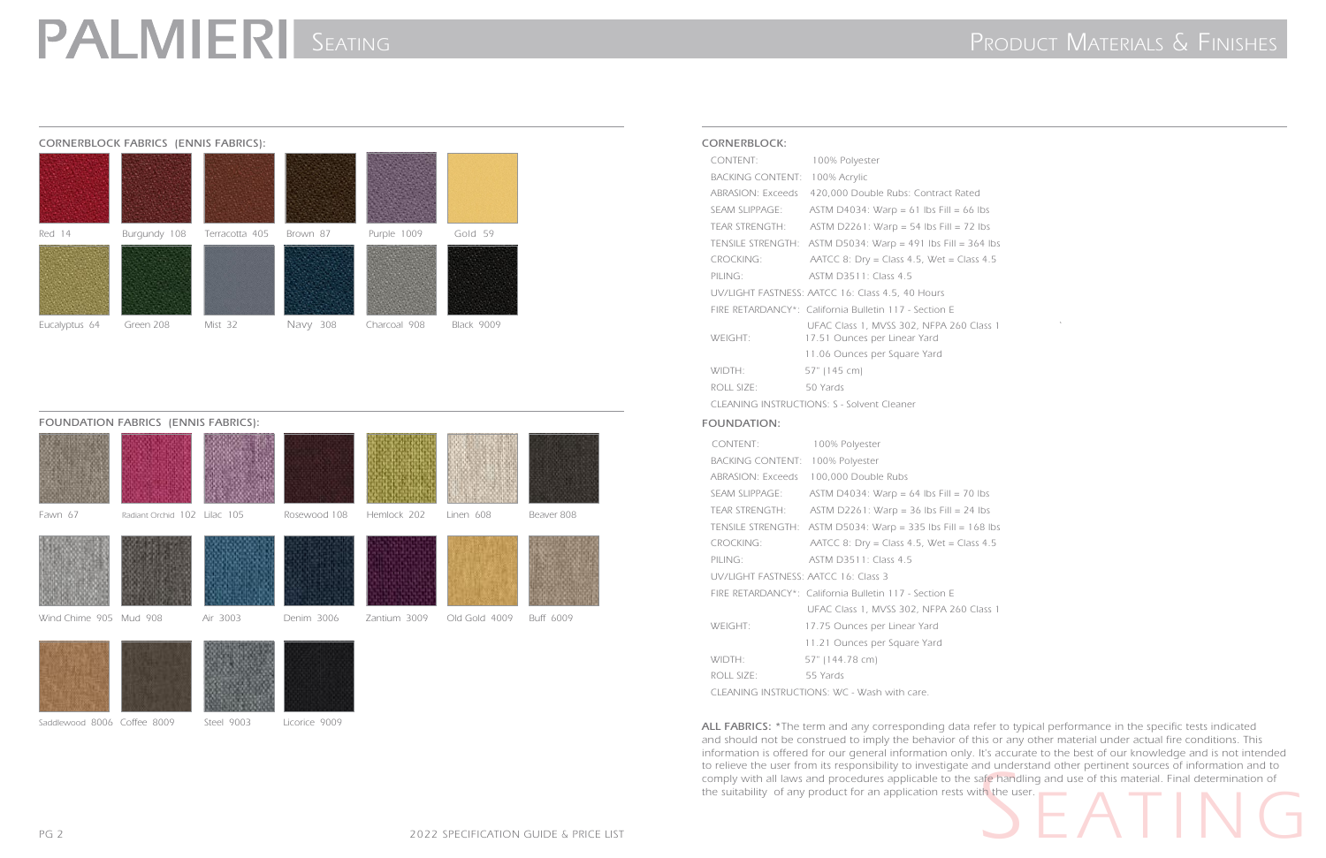

Saddlewood 8006 Coffee 8009 Steel 9003 Licorice 9009

## PALMIERI SEATING PRODUCT MATERIALS & FINISHES

### **CORNERBLOCK FABRICS (ENNIS FABRICS):**



**CORNERBLOCK:**

PILING: ASTM D3511: Class 4.5 UV/LIGHT FASTNESS: AATCC 16: Class 4.5, 40 Hours FIRE RETARDANCY\*: California Bulletin 117 - Section E UFAC Class 1, MVSS 302, NFPA 260 Class 1 WEIGHT: 17.51 Ounces per Linear Yard 11.06 Ounces per Square Yard

 WIDTH: 57" (145 cm) ROLL SIZE: 50 Yards

## CONTENT: 100% Polyester BACKING CONTENT: 100% Acrylic ABRASION: Exceeds 420,000 Double Rubs: Contract Rated SEAM SLIPPAGE: ASTM D4034: Warp = 61 lbs Fill = 66 lbs TEAR STRENGTH: ASTM D2261: Warp = 54 lbs Fill = 72 lbs TENSILE STRENGTH: ASTM D5034: Warp = 491 lbs Fill = 364 lbs CROCKING: AATCC 8: Dry = Class 4.5, Wet = Class 4.5

CLEANING INSTRUCTIONS: S - Solvent Cleaner

### **FOUNDATION:**

to relieve the user from its responsibility to investigate and understand other pertinent sources of information and to<br>
comply with all laws and procedures applicable to the safe handling and use of this material. Final d **ALL FABRICS: \***The term and any corresponding data refer to typical performance in the specific tests indicated and should not be construed to imply the behavior of this or any other material under actual fire conditions. This information is offered for our general information only. It's accurate to the best of our knowledge and is not intended to relieve the user from its responsibility to investigate and understand other pertinent sources of information and to comply with all laws and procedures applicable to the safe handling and use of this material. Final determination of the suitability of any product for an application rests with the user.



| CONTENT:                             | 100% Polyester                                              |
|--------------------------------------|-------------------------------------------------------------|
| BACKING CONTENT: 100% Polyester      |                                                             |
| ABRASION: Exceeds                    | 100,000 Double Rubs                                         |
| <b>SEAM SLIPPAGE:</b>                | ASTM D4034: Warp = 64 lbs Fill = 70 lbs                     |
| TEAR STRENGTH:                       | $ASTM D2261: Warp = 36 lbs Fill = 24 lbs$                   |
|                                      | TENSILE STRENGTH: ASTM D5034: Warp = 335 lbs Fill = 168 lbs |
| <b>CROCKING:</b>                     | AATCC 8: Dry = Class 4.5, Wet = Class 4.5                   |
| PILING:                              | ASTM D3511: Class 4.5                                       |
| UV/LIGHT FASTNESS: AATCC 16: Class 3 |                                                             |
|                                      | FIRE RETARDANCY*: California Bulletin 117 - Section E       |
|                                      | UFAC Class 1, MVSS 302, NFPA 260 Class 1                    |
| WEIGHT:                              | 17.75 Ounces per Linear Yard                                |
|                                      | 11.21 Ounces per Square Yard                                |
| WIDTH:                               | 57" (144.78 cm)                                             |
| ROLL SIZE:                           | 55 Yards                                                    |
|                                      | CLEANING INSTRUCTIONS: WC - Wash with care.                 |